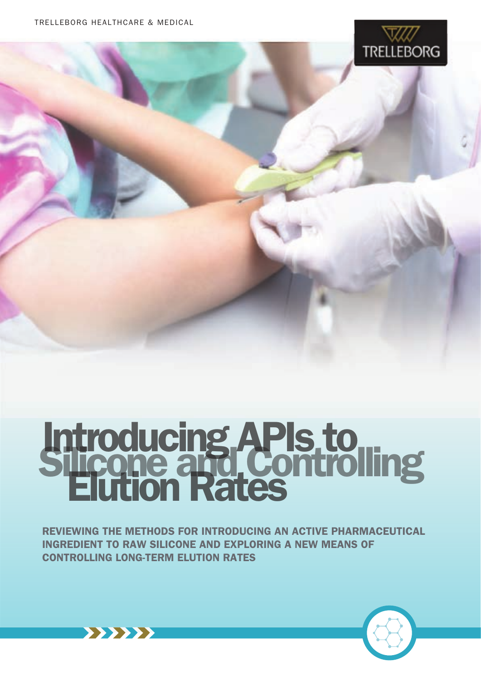

# Introducing APIs to Silicone and Controlling

REVIEWING THE METHODS FOR INTRODUCING AN ACTIVE PHARMACEUTICAL INGREDIENT TO RAW SILICONE AND EXPLORING A NEW MEANS OF CONTROLLING LONG-TERM ELUTION RATES



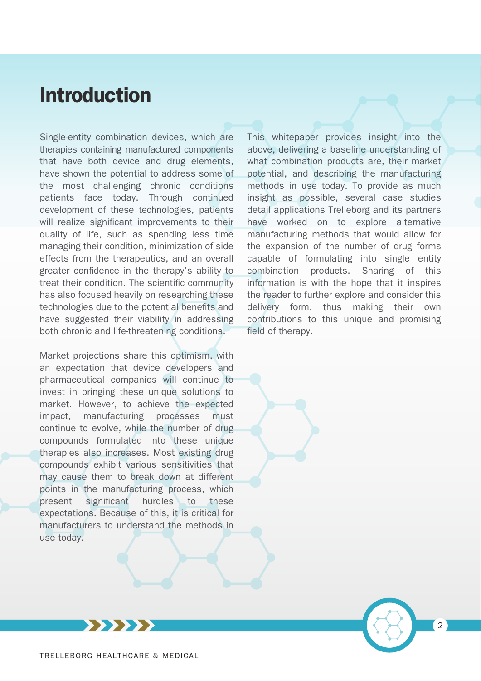# Introduction

Single-entity combination devices, which are therapies containing manufactured components that have both device and drug elements, have shown the potential to address some of the most challenging chronic conditions patients face today. Through continued development of these technologies, patients will realize significant improvements to their quality of life, such as spending less time managing their condition, minimization of side effects from the therapeutics, and an overall greater confidence in the therapy's ability to treat their condition. The scientific community has also focused heavily on researching these technologies due to the potential benefits and have suggested their viability in addressing both chronic and life-threatening conditions.

Market projections share this optimism, with an expectation that device developers and pharmaceutical companies will continue to invest in bringing these unique solutions to market. However, to achieve the expected impact, manufacturing processes must continue to evolve, while the number of drug compounds formulated into these unique therapies also increases. Most existing drug compounds exhibit various sensitivities that may cause them to break down at different points in the manufacturing process, which present significant hurdles to these expectations. Because of this, it is critical for manufacturers to understand the methods in use today.

This whitepaper provides insight into the above, delivering a baseline understanding of what combination products are, their market potential, and describing the manufacturing methods in use today. To provide as much insight as possible, several case studies detail applications Trelleborg and its partners have worked on to explore alternative manufacturing methods that would allow for the expansion of the number of drug forms capable of formulating into single entity combination products. Sharing of this information is with the hope that it inspires the reader to further explore and consider this delivery form, thus making their own contributions to this unique and promising field of therapy.

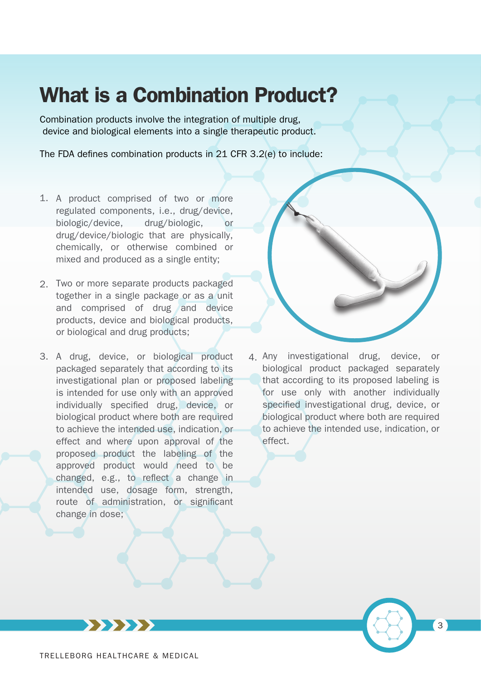# What is a Combination Product?

Combination products involve the integration of multiple drug, device and biological elements into a single therapeutic product.

The FDA defines combination products in  $21$  CFR 3.2(e) to include:

- 1. A product comprised of two or more regulated components, i.e., drug/device, biologic/device, drug/biologic, or drug/device/biologic that are physically, chemically, or otherwise combined or mixed and produced as a single entity;
- Two or more separate products packaged 2. together in a single package or as a unit and comprised of drug and device products, device and biological products, or biological and drug products;
- 3. A drug, device, or biological product packaged separately that according to its investigational plan or proposed labeling is intended for use only with an approved individually specified drug, device, or biological product where both are required to achieve the intended use, indication, or effect and where upon approval of the proposed product the labeling of the approved product would need to be  $changed$ , e.g., to reflect a change in intended use, dosage form, strength, route of administration, or significant change in dose;



4. Any investigational drug, device, or biological product packaged separately that according to its proposed labeling is for use only with another individually specified investigational drug, device, or biological product where both are required to achieve the intended use, indication, or effect.

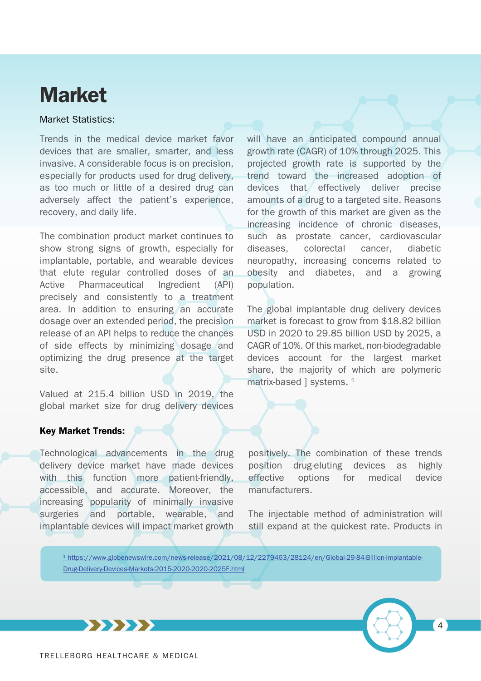# Market

### Market Statistics:

Trends in the medical device market favor devices that are smaller, smarter, and less invasive. A considerable focus is on precision, especially for products used for drug delivery, as too much or little of a desired drug can adversely affect the patient's experience, recovery, and daily life.

The combination product market continues to show strong signs of growth, especially for implantable, portable, and wearable devices that elute regular controlled doses of an Active Pharmaceutical Ingredient (API) precisely and consistently to a treatment area. In addition to ensuring an accurate dosage over an extended period, the precision release of an API helps to reduce the chances of side effects by minimizing dosage and optimizing the drug presence at the target site.

Valued at 215.4 billion USD in 2019, the global market size for drug delivery devices

### Key Market Trends:

Technological advancements in the drug delivery device market have made devices with this function more patient-friendly, accessible, and accurate. Moreover, the increasing popularity of minimally invasive surgeries and portable, wearable, and implantable devices will impact market growth

will have an anticipated compound annual growth rate (CAGR) of 10% through 2025. This projected growth rate is supported by the trend toward the increased adoption of devices that effectively deliver precise amounts of a drug to a targeted site. Reasons for the growth of this market are given as the increasing incidence of chronic diseases, such as prostate cancer, cardiovascular diseases, colorectal cancer, diabetic neuropathy, increasing concerns related to obesity and diabetes, and a growing population.

The global implantable drug delivery devices market is forecast to grow from \$18.82 billion USD in 2020 to 29.85 billion USD by 2025, a CAGR of 10%. Of this market, non-biodegradable devices account for the largest market share, the majority of which are polymeric matrix-based ] systems. <sup>1</sup>

positively. The combination of these trends position drug-eluting devices as highly effective options for medical device manufacturers.

The injectable method of administration will still expand at the quickest rate. Products in

1 https://www.globenewswire.com/news-release/2021/08/12/2279463/28124/en/Global-29-84-Billion-Implantable-Drug-Delivery-Devices-Markets-2015-2020-2020-2025F.html



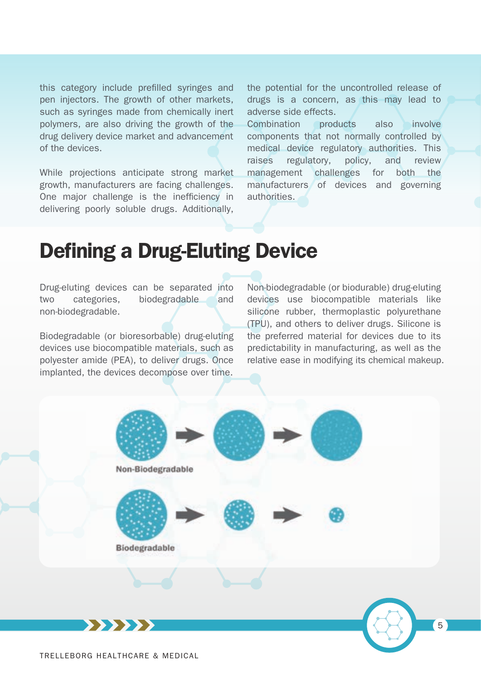this category include prefilled syringes and pen injectors. The growth of other markets, such as syringes made from chemically inert polymers, are also driving the growth of the drug delivery device market and advancement of the devices.

While projections anticipate strong market growth, manufacturers are facing challenges. One major challenge is the inefficiency in delivering poorly soluble drugs. Additionally,

the potential for the uncontrolled release of drugs is a concern, as this may lead to adverse side effects.

Combination products also involve components that not normally controlled by medical device regulatory authorities. This raises regulatory, policy, and review management challenges for both the manufacturers of devices and governing authorities.

# Defining a Drug-Eluting Device

Drug-eluting devices can be separated into two categories, biodegradable and non-biodegradable.

Biodegradable (or bioresorbable) drug-eluting devices use biocompatible materials, such as polyester amide (PEA), to deliver drugs. Once implanted, the devices decompose over time.

Non-biodegradable (or biodurable) drug-eluting devices use biocompatible materials like silicone rubber, thermoplastic polyurethane (TPU), and others to deliver drugs. Silicone is the preferred material for devices due to its predictability in manufacturing, as well as the relative ease in modifying its chemical makeup.

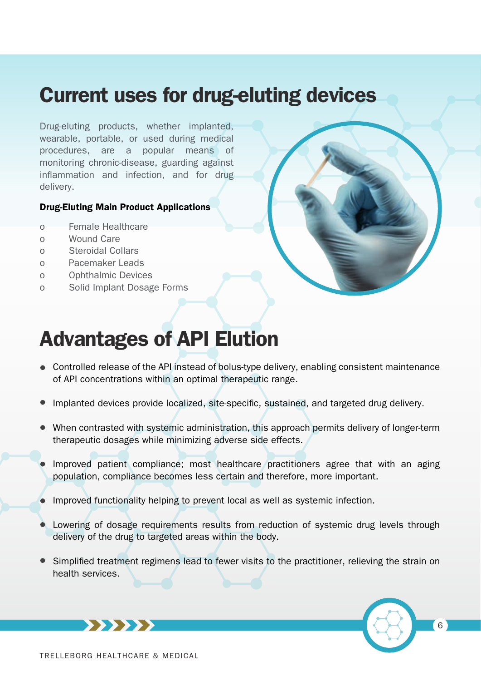# Current uses for drug-eluting devices

Drug-eluting products, whether implanted, wearable, portable, or used during medical procedures, are a popular means of monitoring chronic-disease, guarding against inflammation and infection, and for drug delivery.

#### Drug-Eluting Main Product Applications

- o Female Healthcare
- o Wound Care
- o Steroidal Collars
- o Pacemaker Leads
- o Ophthalmic Devices
- o Solid Implant Dosage Forms



# Advantages of API Elution

- Controlled release of the API instead of bolus-type delivery, enabling consistent maintenance of API concentrations within an optimal therapeutic range.
- Implanted devices provide localized, site-specific, sustained, and targeted drug delivery.
- When contrasted with systemic administration, this approach permits delivery of longer-term therapeutic dosages while minimizing adverse side effects.
- Improved patient compliance; most healthcare practitioners agree that with an aging population, compliance becomes less certain and therefore, more important.
- Improved functionality helping to prevent local as well as systemic infection.
- Lowering of dosage requirements results from reduction of systemic drug levels through delivery of the drug to targeted areas within the body.
- Simplified treatment regimens lead to fewer visits to the practitioner, relieving the strain on health services.



TRELLEBORG HEALTHCARE & MEDICAL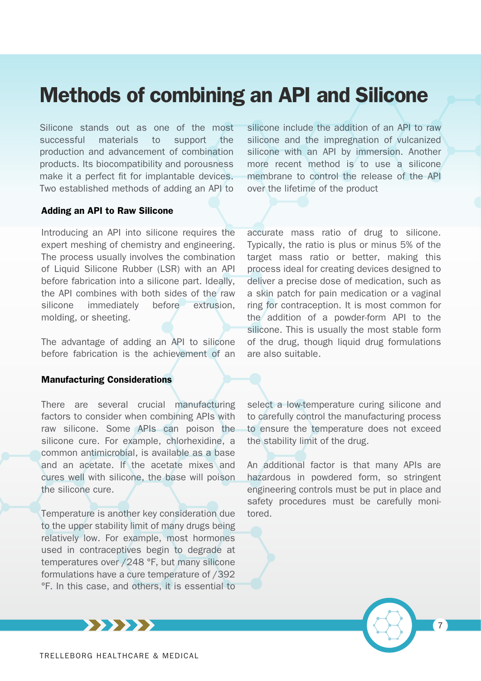# Methods of combining an API and Silicone

Silicone stands out as one of the most successful materials to support the production and advancement of combination products. Its biocompatibility and porousness make it a perfect fit for implantable devices. Two established methods of adding an API to

#### Adding an API to Raw Silicone

Introducing an API into silicone requires the expert meshing of chemistry and engineering. The process usually involves the combination of Liquid Silicone Rubber (LSR) with an API before fabrication into a silicone part. Ideally, the API combines with both sides of the raw silicone immediately before extrusion, molding, or sheeting.

The advantage of adding an API to silicone before fabrication is the achievement of an

#### Manufacturing Considerations

There are several crucial manufacturing factors to consider when combining APIs with raw silicone. Some APIs can poison the silicone cure. For example, chlorhexidine, a common antimicrobial, is available as a base and an acetate. If the acetate mixes and cures well with silicone, the base will poison the silicone cure.

Temperature is another key consideration due to the upper stability limit of many drugs being relatively low. For example, most hormones used in contraceptives begin to degrade at temperatures over /248 °F, but many silicone formulations have a cure temperature of /392 °F. In this case, and others, it is essential to

silicone include the addition of an API to raw silicone and the impregnation of vulcanized silicone with an API by immersion. Another more recent method is to use a silicone membrane to control the release of the API over the lifetime of the product

accurate mass ratio of drug to silicone. Typically, the ratio is plus or minus 5% of the target mass ratio or better, making this process ideal for creating devices designed to deliver a precise dose of medication, such as a skin patch for pain medication or a vaginal ring for contraception. It is most common for the addition of a powder-form API to the silicone. This is usually the most stable form of the drug, though liquid drug formulations are also suitable.

select a low-temperature curing silicone and to carefully control the manufacturing process to ensure the temperature does not exceed the stability limit of the drug.

An additional factor is that many APIs are hazardous in powdered form, so stringent engineering controls must be put in place and safety procedures must be carefully monitored.



TRELLEBORG HEALTHCARE & MEDICAL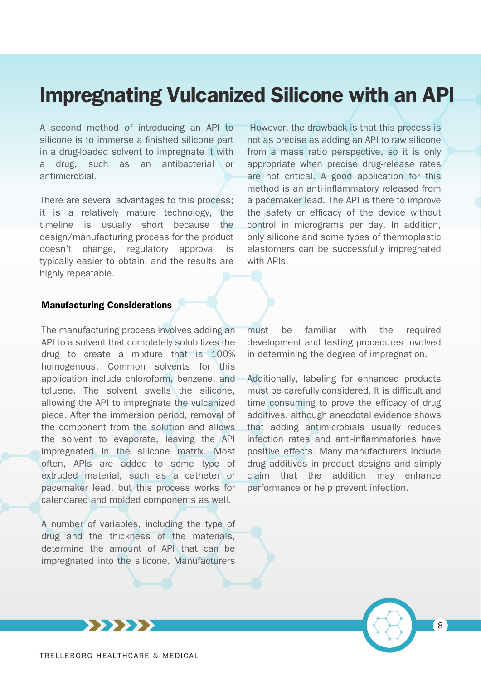# Impregnating Vulcanized Silicone with an API

A second method of introducing an API to silicone is to immerse a finished silicone part in a drug-loaded solvent to impregnate it with a drug, such as an antibacterial or antimicrobial.

There are several advantages to this process; it is a relatively mature technology, the timeline is usually short because the design/manufacturing process for the product doesn't change, regulatory approval is typically easier to obtain, and the results are highly repeatable.

 However, the drawback is that this process is not as precise as adding an API to raw silicone from a mass ratio perspective, so it is only appropriate when precise drug-release rates are not critical. A good application for this method is an anti-inflammatory released from a pacemaker lead. The API is there to improve the safety or efficacy of the device without control in micrograms per day. In addition, only silicone and some types of thermoplastic elastomers can be successfully impregnated with APIs.

### Manufacturing Considerations

The manufacturing process involves adding an API to a solvent that completely solubilizes the drug to create a mixture that is 100% homogenous. Common solvents for this application include chloroform, benzene, and toluene. The solvent swells the silicone, allowing the API to impregnate the vulcanized piece. After the immersion period, removal of the component from the solution and allows the solvent to evaporate, leaving the API impregnated in the silicone matrix. Most often, APIs are added to some type of extruded material, such as a catheter or pacemaker lead, but this process works for calendared and molded components as well.

A number of variables, including the type of drug and the thickness of the materials, determine the amount of API that can be impregnated into the silicone. Manufacturers

must be familiar with the required development and testing procedures involved in determining the degree of impregnation.

Additionally, labeling for enhanced products must be carefully considered. It is difficult and time consuming to prove the efficacy of drug additives, although anecdotal evidence shows that adding antimicrobials usually reduces infection rates and anti-inflammatories have positive effects. Many manufacturers include drug additives in product designs and simply claim that the addition may enhance performance or help prevent infection.

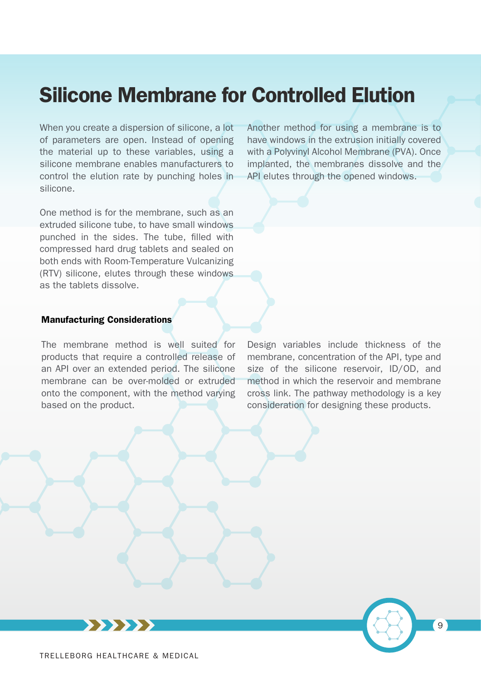# Silicone Membrane for Controlled Elution

When you create a dispersion of silicone, a lot of parameters are open. Instead of opening the material up to these variables, using a silicone membrane enables manufacturers to control the elution rate by punching holes in silicone.

One method is for the membrane, such as an extruded silicone tube, to have small windows punched in the sides. The tube, filled with compressed hard drug tablets and sealed on both ends with Room-Temperature Vulcanizing (RTV) silicone, elutes through these windows as the tablets dissolve.

Another method for using a membrane is to have windows in the extrusion initially covered with a Polyvinyl Alcohol Membrane (PVA). Once implanted, the membranes dissolve and the API elutes through the opened windows.

#### Manufacturing Considerations

The membrane method is well suited for products that require a controlled release of an API over an extended period. The silicone membrane can be over-molded or extruded onto the component, with the method varying based on the product.

Design variables include thickness of the membrane, concentration of the API, type and size of the silicone reservoir, ID/OD, and method in which the reservoir and membrane cross link. The pathway methodology is a key consideration for designing these products.

9

TRELLEBORG HEALTHCARE & MEDICAL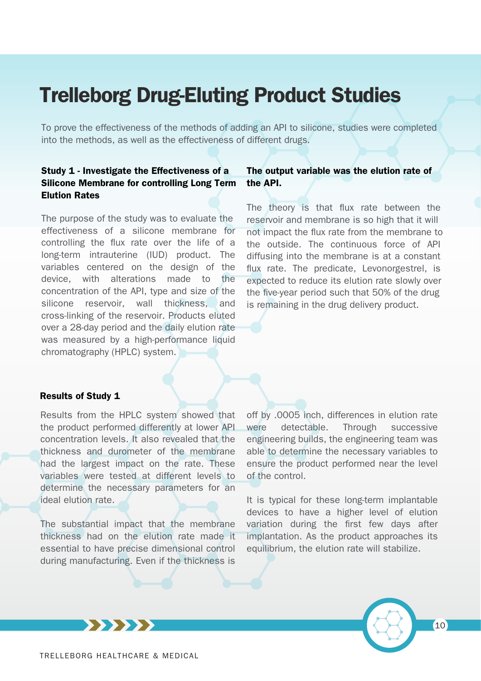# Trelleborg Drug-Eluting Product Studies

To prove the effectiveness of the methods of adding an API to silicone, studies were completed into the methods, as well as the effectiveness of different drugs.

## Study 1 - Investigate the Effectiveness of a Silicone Membrane for controlling Long Term Elution Rates

The purpose of the study was to evaluate the effectiveness of a silicone membrane for controlling the flux rate over the life of a long-term intrauterine (IUD) product. The variables centered on the design of the device, with alterations made to the concentration of the API, type and size of the silicone reservoir, wall thickness, and cross-linking of the reservoir. Products eluted over a 28-day period and the daily elution rate was measured by a high-performance liquid chromatography (HPLC) system.

### The output variable was the elution rate of the API.

The theory is that flux rate between the reservoir and membrane is so high that it will not impact the flux rate from the membrane to the outside. The continuous force of API diffusing into the membrane is at a constant flux rate. The predicate, Levonorgestrel, is expected to reduce its elution rate slowly over the five-year period such that 50% of the drug is remaining in the drug delivery product.

#### Results of Study 1

Results from the HPLC system showed that the product performed differently at lower API concentration levels. It also revealed that the thickness and durometer of the membrane had the largest impact on the rate. These variables were tested at different levels to determine the necessary parameters for an ideal elution rate.

The substantial impact that the membrane thickness had on the elution rate made it essential to have precise dimensional control during manufacturing. Even if the thickness is

off by .0005 inch, differences in elution rate were detectable. Through successive engineering builds, the engineering team was able to determine the necessary variables to ensure the product performed near the level of the control.

It is typical for these long-term implantable devices to have a higher level of elution variation during the first few days after implantation. As the product approaches its equilibrium, the elution rate will stabilize.



**\*\*\*\*\***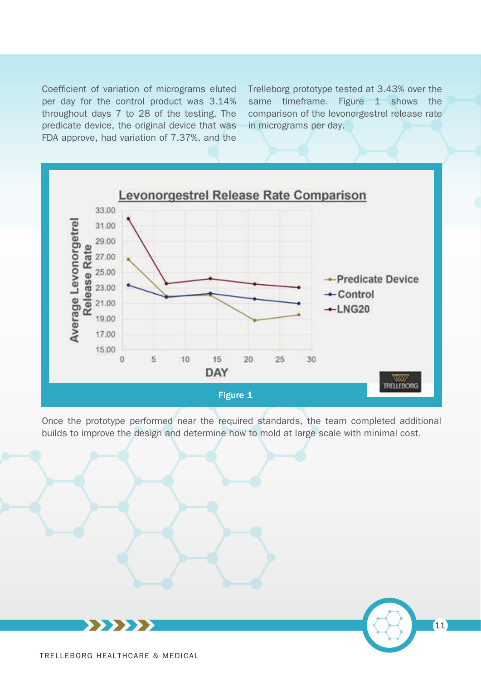Coefficient of variation of micrograms eluted per day for the control product was 3.14% throughout days 7 to 28 of the testing. The predicate device, the original device that was FDA approve, had variation of 7.37%, and the

Trelleborg prototype tested at 3.43% over the same timeframe. Figure 1 shows the comparison of the levonorgestrel release rate in micrograms per day.

11



Once the prototype performed near the required standards, the team completed additional builds to improve the design and determine how to mold at large scale with minimal cost.



TRELLEBORG HEALTHCARE & MEDICAL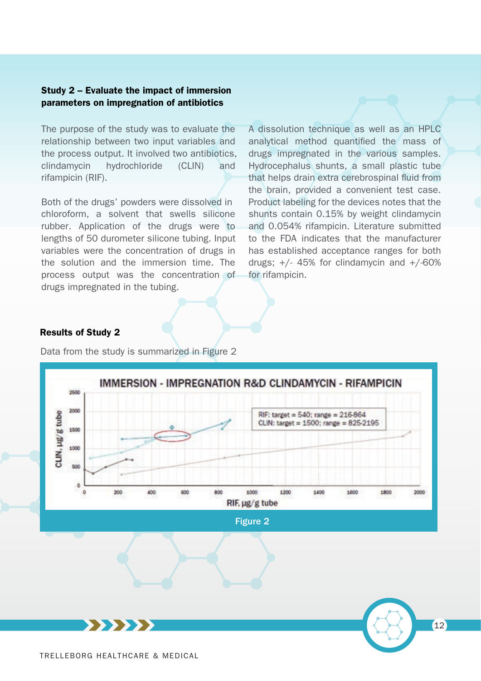### Study 2 – Evaluate the impact of immersion parameters on impregnation of antibiotics

The purpose of the study was to evaluate the relationship between two input variables and the process output. It involved two antibiotics, clindamycin hydrochloride (CLIN) and rifampicin (RIF).

Both of the drugs' powders were dissolved in chloroform, a solvent that swells silicone rubber. Application of the drugs were to lengths of 50 durometer silicone tubing. Input variables were the concentration of drugs in the solution and the immersion time. The process output was the concentration of drugs impregnated in the tubing.

A dissolution technique as well as an HPLC analytical method quantified the mass of drugs impregnated in the various samples. Hydrocephalus shunts, a small plastic tube that helps drain extra cerebrospinal fluid from the brain, provided a convenient test case. Product labeling for the devices notes that the shunts contain 0.15% by weight clindamycin and 0.054% rifampicin. Literature submitted to the FDA indicates that the manufacturer has established acceptance ranges for both drugs;  $+/$ - 45% for clindamycin and  $+/$ -60% for rifampicin.

### Results of Study 2

Data from the study is summarized in Figure 2

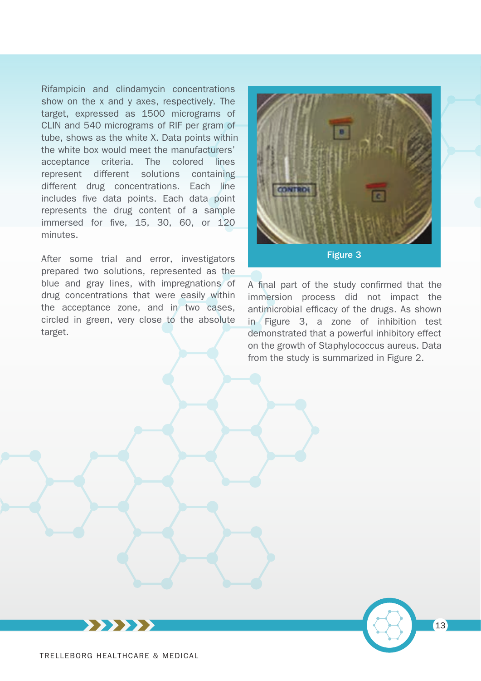Rifampicin and clindamycin concentrations show on the x and y axes, respectively. The target, expressed as 1500 micrograms of CLIN and 540 micrograms of RIF per gram of tube, shows as the white X. Data points within the white box would meet the manufacturers' acceptance criteria. The colored lines represent different solutions containing different drug concentrations. Each line includes five data points. Each data point represents the drug content of a sample immersed for five, 15, 30, 60, or 120 minutes.

After some trial and error, investigators prepared two solutions, represented as the blue and gray lines, with impregnations of drug concentrations that were easily within the acceptance zone, and in two cases, circled in green, very close to the absolute target.



A final part of the study confirmed that the immersion process did not impact the antimicrobial efficacy of the drugs. As shown in Figure 3, a zone of inhibition test demonstrated that a powerful inhibitory effect on the growth of Staphylococcus aureus. Data from the study is summarized in Figure 2.

13

XXXXXX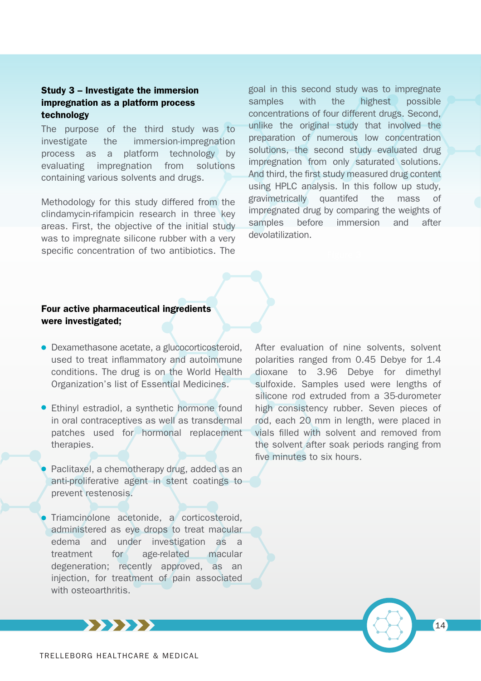### Study 3 – Investigate the immersion impregnation as a platform process technology

The purpose of the third study was to investigate the immersion-impregnation process as a platform technology by evaluating impregnation from solutions containing various solvents and drugs.

Methodology for this study differed from the clindamycin-rifampicin research in three key areas. First, the objective of the initial study was to impregnate silicone rubber with a very specific concentration of two antibiotics. The

goal in this second study was to impregnate samples with the highest possible concentrations of four different drugs. Second, unlike the original study that involved the preparation of numerous low concentration solutions, the second study evaluated drug impregnation from only saturated solutions. And third, the first study measured drug content using HPLC analysis. In this follow up study, gravimetrically quantifed the mass of impregnated drug by comparing the weights of samples before immersion and after devolatilization.

## Four active pharmaceutical ingredients were investigated;

- Dexamethasone acetate, a glucocorticosteroid, used to treat inflammatory and autoimmune conditions. The drug is on the World Health Organization's list of Essential Medicines.
- Ethinyl estradiol, a synthetic hormone found in oral contraceptives as well as transdermal patches used for hormonal replacement therapies.
- Paclitaxel, a chemotherapy drug, added as an anti-proliferative agent in stent coatings to prevent restenosis.
- Triamcinolone acetonide, a corticosteroid, administered as eye drops to treat macular edema and under investigation as a treatment for age-related macular degeneration; recently approved, as an injection, for treatment of pain associated with osteoarthritis.

After evaluation of nine solvents, solvent polarities ranged from 0.45 Debye for 1.4 dioxane to 3.96 Debye for dimethyl sulfoxide. Samples used were lengths of silicone rod extruded from a 35-durometer high consistency rubber. Seven pieces of rod, each 20 mm in length, were placed in vials filled with solvent and removed from the solvent after soak periods ranging from five minutes to six hours.



**\*\*\*\*\*\***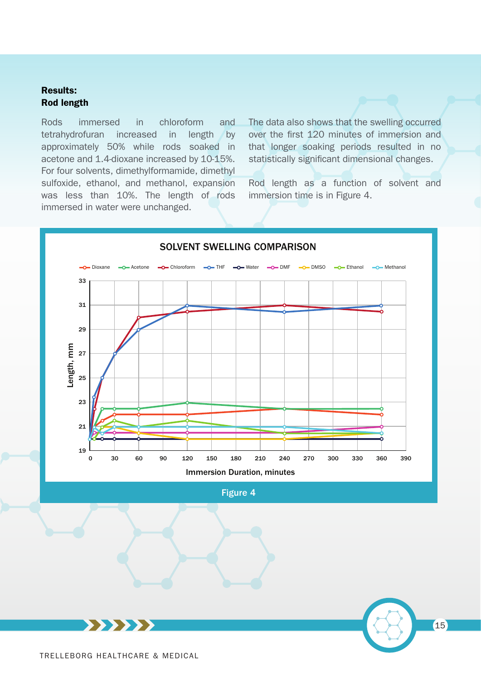### Results: Rod length

Rods immersed in chloroform and tetrahydrofuran increased in length by approximately 50% while rods soaked in acetone and 1.4-dioxane increased by 10-15%. For four solvents, dimethylformamide, dimethyl sulfoxide, ethanol, and methanol, expansion was less than 10%. The length of rods immersed in water were unchanged.

The data also shows that the swelling occurred over the first 120 minutes of immersion and that longer soaking periods resulted in no statistically significant dimensional changes.

Rod length as a function of solvent and immersion time is in Figure 4.

15



### SOLVENT SWELLING COMPARISON

Figure 4

**\*\*\*\*\*\*** TRELLEBORG HEALTHCARE & MEDICAL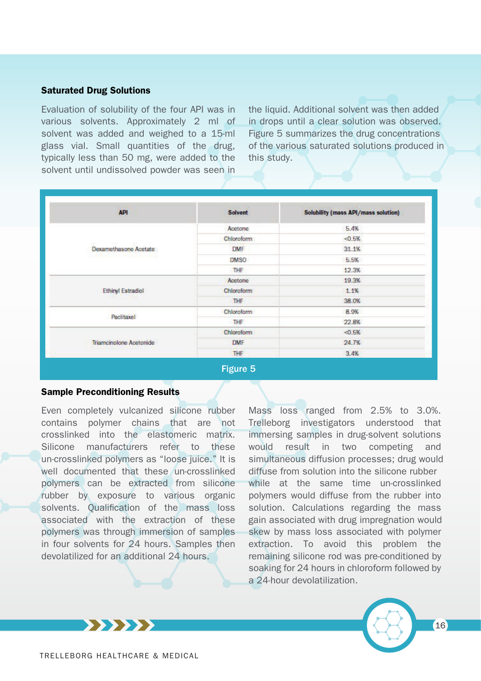#### Saturated Drug Solutions

Evaluation of solubility of the four API was in various solvents. Approximately 2 ml of solvent was added and weighed to a 15-ml glass vial. Small quantities of the drug, typically less than 50 mg, were added to the solvent until undissolved powder was seen in

the liquid. Additional solvent was then added in drops until a clear solution was observed. Figure 5 summarizes the drug concentrations of the various saturated solutions produced in this study.

| <b>API</b>              | Solvent    | <b>Solubility (mass API/mass solution)</b> |
|-------------------------|------------|--------------------------------------------|
| Dexamethasone Acetate   | Acetone    | 5.4%                                       |
|                         | Chloroform | 0.5%                                       |
|                         | DMF        | 31.1%                                      |
|                         | DMSO       | 5.5%                                       |
|                         | THE        | 12.3%                                      |
| Ethinyl Estradiol       | Acetone    | 19.3%                                      |
|                         | Chloroform | 1.1%                                       |
|                         | THE        | 38.0%                                      |
| Paclitaxel              | Chloroform | 8.9%                                       |
|                         | THE        | 22.8%                                      |
| Triamcinolone Acetonide | Chloroform | $-0.5%$                                    |
|                         | <b>DMF</b> | 24.7%                                      |
|                         | THE        | 3.4%                                       |

#### Sample Preconditioning Results

Even completely vulcanized silicone rubber contains polymer chains that are not crosslinked into the elastomeric matrix. Silicone manufacturers refer to these un-crosslinked polymers as "loose juice." It is well documented that these un-crosslinked polymers can be extracted from silicone rubber by exposure to various organic solvents. Qualification of the mass loss associated with the extraction of these polymers was through immersion of samples in four solvents for 24 hours. Samples then devolatilized for an additional 24 hours.

Mass loss ranged from 2.5% to 3.0%. Trelleborg investigators understood that immersing samples in drug-solvent solutions would result in two competing and simultaneous diffusion processes; drug would diffuse from solution into the silicone rubber while at the same time un-crosslinked polymers would diffuse from the rubber into solution. Calculations regarding the mass gain associated with drug impregnation would skew by mass loss associated with polymer extraction. To avoid this problem the remaining silicone rod was pre-conditioned by soaking for 24 hours in chloroform followed by a 24-hour devolatilization.



**\*\*\*\*\*\***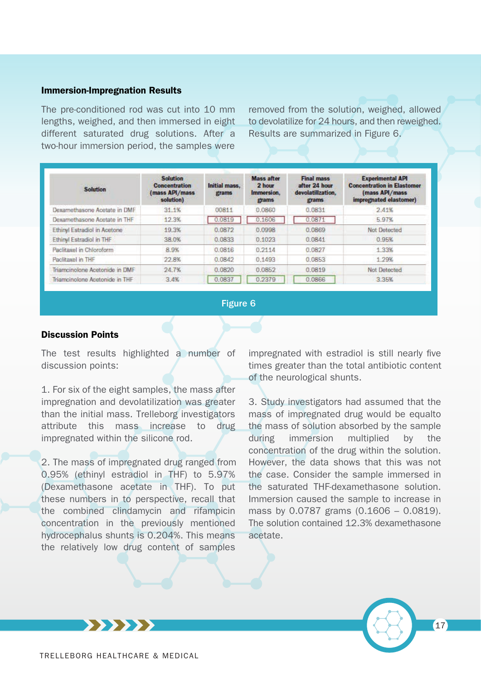#### Immersion-Impregnation Results

The pre-conditioned rod was cut into 10 mm lengths, weighed, and then immersed in eight different saturated drug solutions. After a two-hour immersion period, the samples were

removed from the solution, weighed, allowed to devolatilize for 24 hours, and then reweighed. Results are summarized in Figure 6.

| <b>Solution</b>                     | <b>Solution</b><br><b>Concentration</b><br>(mass API/mass<br>solution) | Initial mass.<br>grams | <b>Mass after</b><br>2 hour<br>Immersion.<br>grams | <b>Final mass</b><br>after 24 hour<br>devolatilization.<br>grams | <b>Experimental API</b><br><b>Concentration in Elastomer</b><br>(mass API/mass<br>impregnated elastomer) |
|-------------------------------------|------------------------------------------------------------------------|------------------------|----------------------------------------------------|------------------------------------------------------------------|----------------------------------------------------------------------------------------------------------|
| Dexamethasone Acetate in DMF        | 31.1%                                                                  | 00811                  | 0.0860                                             | 0.0831                                                           | 2.41%                                                                                                    |
| Dexamethasone Acetate in THF        | 12.3%                                                                  | 0.0819                 | 0.1606                                             | 0.0871                                                           | 5.97%                                                                                                    |
| <b>Ethinyl Estradiol in Acetone</b> | 19.3%                                                                  | 0.0872                 | 0.0998                                             | 0.0869                                                           | Not Detected                                                                                             |
| <b>Ethinyl Estradiol in THF</b>     | 38.0%                                                                  | 0.0833                 | 0.1023                                             | 0.0841                                                           | 0.95%                                                                                                    |
| Paclitaxel in Chloroform            | 8.9%                                                                   | 0.0816                 | 0.2114                                             | 0.0827                                                           | 1.33%                                                                                                    |
| Paclitaxel in THF                   | 22.8%                                                                  | 0.0842                 | 0.1493                                             | 0.0853                                                           | 1.29%                                                                                                    |
| Triamcinolone Acetonide in DMF      | 24.7%                                                                  | 0.0820                 | 0.0852                                             | 0.0819                                                           | Not Detected                                                                                             |
| Triamcinolone Acetonide in THF      | 3.4%                                                                   | 0.0837                 | 0.2379                                             | 0.0866                                                           | 3:35%                                                                                                    |

#### Figure 6

#### Discussion Points

The test results highlighted a number of discussion points:

1. For six of the eight samples, the mass after impregnation and devolatilization was greater than the initial mass. Trelleborg investigators attribute this mass increase to drug impregnated within the silicone rod.

2. The mass of impregnated drug ranged from 0.95% (ethinyl estradiol in THF) to 5.97% (Dexamethasone acetate in THF). To put these numbers in to perspective, recall that the combined clindamycin and rifampicin concentration in the previously mentioned hydrocephalus shunts is 0.204%. This means the relatively low drug content of samples

impregnated with estradiol is still nearly five times greater than the total antibiotic content of the neurological shunts.

3. Study investigators had assumed that the mass of impregnated drug would be equalto the mass of solution absorbed by the sample during immersion multiplied by the concentration of the drug within the solution. However, the data shows that this was not the case. Consider the sample immersed in the saturated THF-dexamethasone solution. Immersion caused the sample to increase in mass by 0.0787 grams (0.1606 – 0.0819). The solution contained 12.3% dexamethasone acetate.

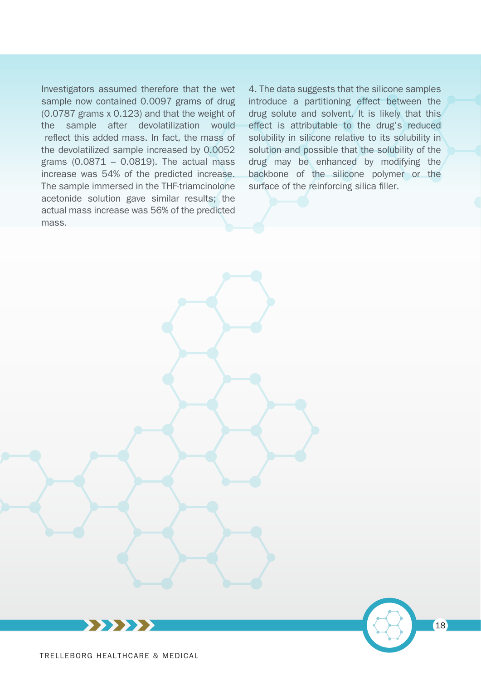

Investigators assumed therefore that the wet sample now contained 0.0097 grams of drug (0.0787 grams x 0.123) and that the weight of the sample after devolatilization would reflect this added mass. In fact, the mass of the devolatilized sample increased by 0.0052 grams  $(0.0871 - 0.0819)$ . The actual mass increase was 54% of the predicted increase. The sample immersed in the THF-triamcinolone acetonide solution gave similar results; the actual mass increase was 56% of the predicted mass.

4. The data suggests that the silicone samples introduce a partitioning effect between the drug solute and solvent. It is likely that this effect is attributable to the drug's reduced solubility in silicone relative to its solubility in solution and possible that the solubility of the drug may be enhanced by modifying the backbone of the silicone polymer or the surface of the reinforcing silica filler.

18



**XXXXXX**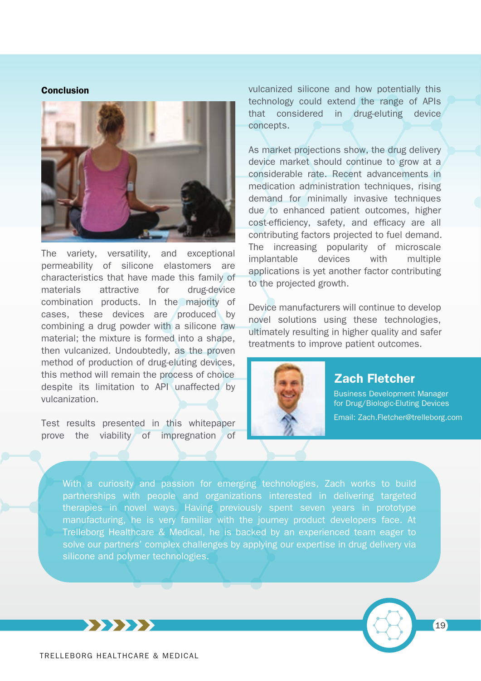#### Conclusion



The variety, versatility, and exceptional permeability of silicone elastomers are characteristics that have made this family of materials attractive for drug-device combination products. In the majority of cases, these devices are produced by combining a drug powder with a silicone raw material; the mixture is formed into a shape, then vulcanized. Undoubtedly, as the proven method of production of drug-eluting devices, this method will remain the process of choice despite its limitation to API unaffected by vulcanization.

Test results presented in this whitepaper prove the viability of impregnation of vulcanized silicone and how potentially this technology could extend the range of APIs that considered in drug-eluting device concepts.

As market projections show, the drug delivery device market should continue to grow at a considerable rate. Recent advancements in medication administration techniques, rising demand for minimally invasive techniques due to enhanced patient outcomes, higher cost-efficiency, safety, and efficacy are all contributing factors projected to fuel demand. The increasing popularity of microscale implantable devices with multiple applications is yet another factor contributing to the projected growth.

Device manufacturers will continue to develop novel solutions using these technologies, ultimately resulting in higher quality and safer treatments to improve patient outcomes.



# Zach Fletcher

Business Development Manager for Drug/Biologic-Eluting Devices Email: Zach.Fletcher@trelleborg.com

With a curiosity and passion for emerging technologies, Zach works to build partnerships with people and organizations interested in delivering targeted therapies in novel ways. Having previously spent seven years in prototype manufacturing, he is very familiar with the journey product developers face. At Trelleborg Healthcare & Medical, he is backed by an experienced team eager to solve our partners' complex challenges by applying our expertise in drug delivery via silicone and polymer technologies.



**\*\*\*\*\*\***